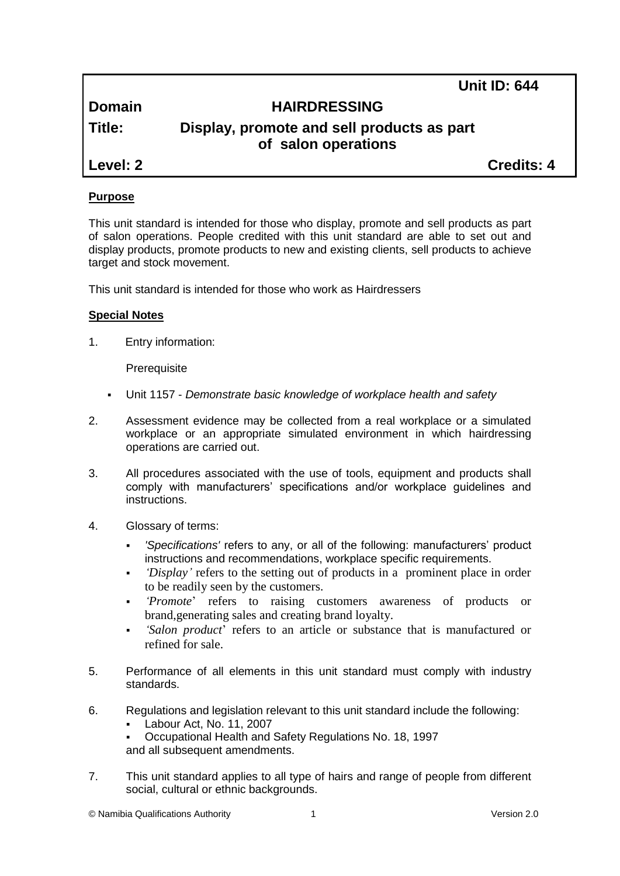**Unit ID: 644**

# **Domain HAIRDRESSING**

# **Title: Display, promote and sell products as part of salon operations**

**Level: 2 Credits: 4**

# **Purpose**

This unit standard is intended for those who display, promote and sell products as part of salon operations. People credited with this unit standard are able to set out and display products, promote products to new and existing clients, sell products to achieve target and stock movement.

This unit standard is intended for those who work as Hairdressers

## **Special Notes**

1. Entry information:

**Prerequisite** 

- Unit 1157 *Demonstrate basic knowledge of workplace health and safety*
- 2. Assessment evidence may be collected from a real workplace or a simulated workplace or an appropriate simulated environment in which hairdressing operations are carried out.
- 3. All procedures associated with the use of tools, equipment and products shall comply with manufacturers' specifications and/or workplace guidelines and instructions.
- 4. Glossary of terms:
	- *'Specifications'* refers to any, or all of the following: manufacturers' product instructions and recommendations, workplace specific requirements.
	- *'Display'* refers to the setting out of products in a prominent place in order to be readily seen by the customers.
	- *'Promote*' refers to raising customers awareness of products or brand,generating sales and creating brand loyalty.
	- *'Salon product*' refers to an article or substance that is manufactured or refined for sale.
- 5. Performance of all elements in this unit standard must comply with industry standards.
- 6. Regulations and legislation relevant to this unit standard include the following:
	- Labour Act, No. 11, 2007
	- Occupational Health and Safety Regulations No. 18, 1997 and all subsequent amendments.
- 7. This unit standard applies to all type of hairs and range of people from different social, cultural or ethnic backgrounds.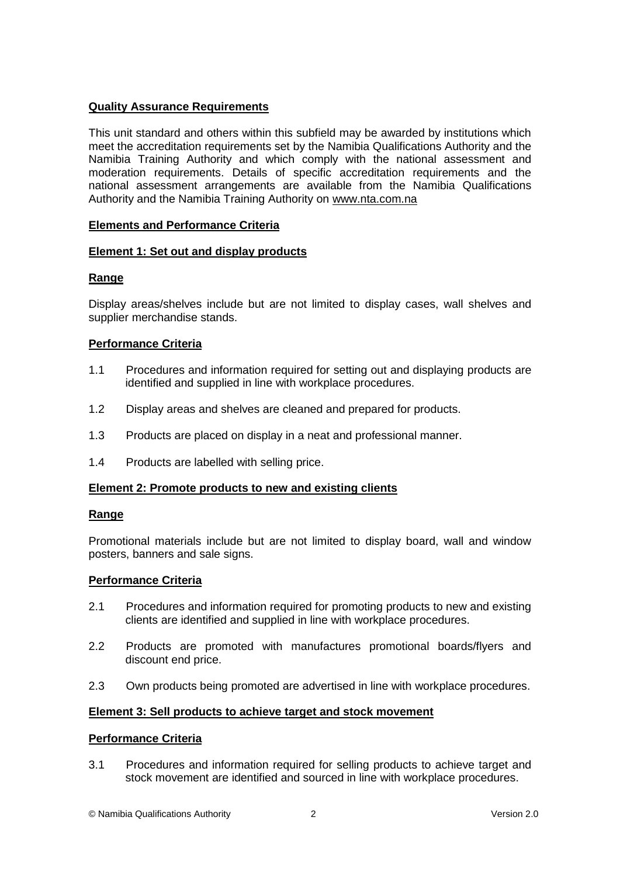## **Quality Assurance Requirements**

This unit standard and others within this subfield may be awarded by institutions which meet the accreditation requirements set by the Namibia Qualifications Authority and the Namibia Training Authority and which comply with the national assessment and moderation requirements. Details of specific accreditation requirements and the national assessment arrangements are available from the Namibia Qualifications Authority and the Namibia Training Authority on [www.nta.com.na](http://www.nta.com.na/)

## **Elements and Performance Criteria**

## **Element 1: Set out and display products**

## **Range**

Display areas/shelves include but are not limited to display cases, wall shelves and supplier merchandise stands.

## **Performance Criteria**

- 1.1 Procedures and information required for setting out and displaying products are identified and supplied in line with workplace procedures.
- 1.2 Display areas and shelves are cleaned and prepared for products.
- 1.3 Products are placed on display in a neat and professional manner.
- 1.4 Products are labelled with selling price.

## **Element 2: Promote products to new and existing clients**

#### **Range**

Promotional materials include but are not limited to display board, wall and window posters, banners and sale signs.

#### **Performance Criteria**

- 2.1 Procedures and information required for promoting products to new and existing clients are identified and supplied in line with workplace procedures.
- 2.2 Products are promoted with manufactures promotional boards/flyers and discount end price.
- 2.3 Own products being promoted are advertised in line with workplace procedures.

#### **Element 3: Sell products to achieve target and stock movement**

#### **Performance Criteria**

3.1 Procedures and information required for selling products to achieve target and stock movement are identified and sourced in line with workplace procedures.